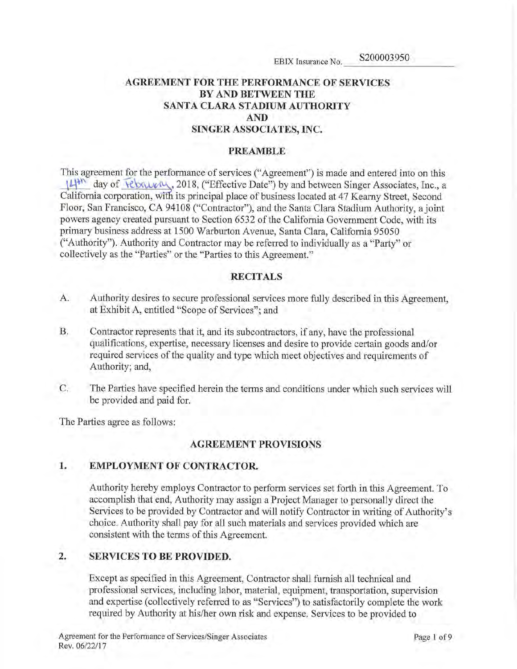# AGREEMENT FOR THE PERFORMANCE OF SERVICES BY AND BETWEEN THE SANTA CLARA STADIUM AUTHORITY AND SINGER ASSOCIATES, INC.

## PREAMBLE

This agreement for the performance of services ("Agreement") is made and entered into on this 14<sup>th</sup> day of  $\overline{V}$  rebause  $\mu$ , 2018, ("Effective Date") by and between Singer Associates, Inc., a California corporation, with its principal place of business located at 47 Kearny Street, Second Floor, San Francisco, CA 94108 ("Contractor"), and the Santa Clara Stadium Authority, a joint powers agency created pursuant to Section 6532 of the California Government Code, with its primary business address at 1500 Warburton Avenue, Santa Clara, California 95050 ("Authority"). Authority and Contractor may be referred to individually as a "Party" or collectively as the "Parties" or the "Parties to this Agreement."

## RECITALS

- A. Authority desires to secure professional services more fully described in this Agreement, at Exhibit A, entitled "Scope of Services"; and
- B. Contractor represents that it, and its subcontractors, if any, have the professional qualifications, expertise, necessary licenses and desire to provide certain goods and/or required services of the quality and type which meet objectives and requirements of Authority; and,
- C. The Parties have specified herein the terms and conditions under which such services will be provided and paid for.

The Parties agree as follows:

## AGREEMENT PROVISIONS

## 1. EMPLOYMENT OF CONTRACTOR.

Authority hereby employs Contractor to perform services set forth in this Agreement. To accomplish that end, Authority may assign a Project Manager to personally direct the Services to be provided by Contractor and will notify Contractor in writing of Authority's choice. Authority shall pay for all such materials and services provided which are consistent with the terms of this Agreement.

## 2. SERVICES TO BE PROVIDED.

Except as specified in this Agreement, Contractor shall furnish all technical and professional services, including labor, material, equipment, transportation, supervision and expertise (collectively referred to as "Services") to satisfactorily complete the work required by Authority at his/her own risk and expense. Services to be provided to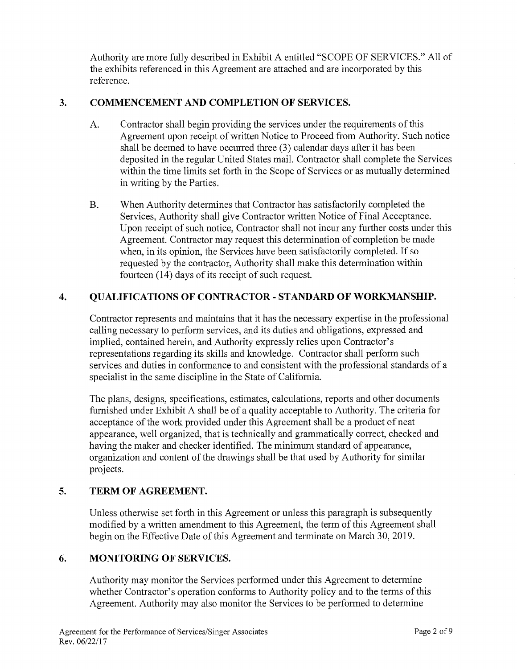Authority are more fully described in Exhibit A entitled "SCOPE OF SERVICES." All of the exhibits referenced in this Agreement are attached and are incorporated by this reference.

# 3. COMMENCEMENT AND COMPLETION OF SERVICES.

- A. Contractor shall begin providing the services under the requirements of this Agreement upon receipt of written Notice to Proceed from Authority. Such notice shall be deemed to have occurred three (3) calendar days after it has been deposited in the regular United States mail. Contractor shall complete the Services within the time limits set forth in the Scope of Services or as mutually determined in writing by the Parties.
- B. When Authority determines that Contractor has satisfactorily completed the Services, Authority shall give Contractor written Notice of Final Acceptance. Upon receipt of such notice, Contractor shall not incur any further costs under this Agreement. Contractor may request this determination of completion be made when, in its opinion, the Services have been satisfactorily completed. If so requested by the contractor, Authority shall make this determination within fourteen (14) days of its receipt of such request.

# 4. QUALIFICATIONS OF CONTRACTOR - STANDARD OF WORKMANSHIP.

Contractor represents and maintains that it has the necessary expertise in the professional calling necessary to perform services, and its duties and obligations, expressed and implied, contained herein, and Authority expressly relies upon Contractor's representations regarding its skills and knowledge. Contractor shall perform such services and duties in conformance to and consistent with the professional standards of a specialist in the same discipline in the State of California.

The plans, designs, specifications, estimates, calculations, reports and other documents furnished under Exhibit A shall be of a quality acceptable to Authority. The criteria for acceptance of the work provided under this Agreement shall be a product of neat appearance, well organized, that is technically and grammatically correct, checked and having the maker and checker identified. The minimum standard of appearance, organization and content of the drawings shall be that used by Authority for similar projects.

## 5. TERM OF AGREEMENT.

Unless otherwise set forth in this Agreement or unless this paragraph is subsequently modified by a written amendment to this Agreement, the term of this Agreement shall begin on the Effective Date of this Agreement and terminate on March 30, 2019.

# 6. MONITORING OF SERVICES.

Authority may monitor the Services performed under this Agreement to determine whether Contractor's operation conforms to Authority policy and to the terms of this Agreement. Authority may also monitor the Services to be performed to determine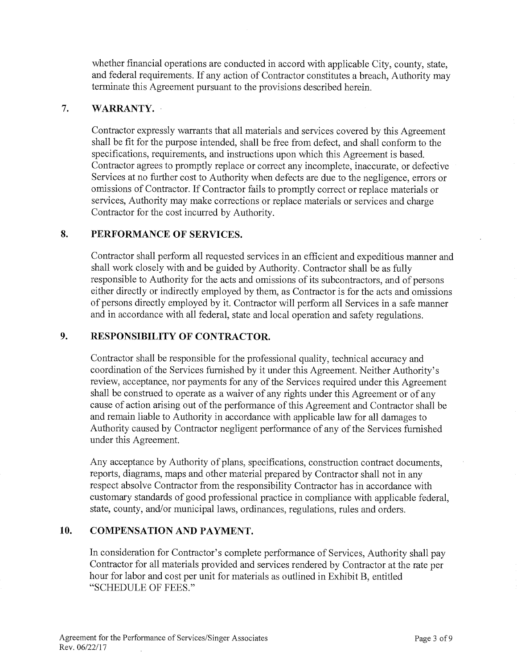whether financial operations are conducted in accord with applicable City, county, state, and federal requirements. If any action of Contractor constitutes a breach, Authority may terminate this Agreement pursuant to the provisions described herein.

# 7. WARRANTY.

Contractor expressly warrants that all materials and services covered by this Agreement shall be fit for the purpose intended, shall be free from defect, and shall conform to the specifications, requirements, and instructions upon which this Agreement is based. Contractor agrees to promptly replace or correct any incomplete, inaccurate, or defective Services at no further cost to Authority when defects are due to the negligence, errors or omissions of Contractor. If Contractor fails to promptly correct or replace materials or services, Authority may make corrections or replace materials or services and charge Contractor for the cost incurred by Authority.

# 8. PERFORMANCE OF SERVICES.

Contractor shall perform all requested services in an efficient and expeditious manner and shall work closely with and be guided by Authority. Contractor shall be as fully responsible to Authority for the acts and omissions of its subcontractors, and of persons either directly or indirectly employed by them, as Contractor is for the acts and omissions of persons directly employed by it. Contractor will perform all Services in a safe manner and in accordance with all federal, state and local operation and safety regulations.

# 9. RESPONSIBILITY OF CONTRACTOR.

Contractor shall be responsible for the professional quality, technical accuracy and coordination of the Services furnished by it under this Agreement. Neither Authority's review, acceptance, nor payments for any of the Services required under this Agreement shall be construed to operate as a waiver of any rights under this Agreement or of any cause of action arising out of the performance of this Agreement and Contractor shall be and remain liable to Authority in accordance with applicable law for all damages to Authority caused by Contractor negligent performance of any of the Services furnished under this Agreement.

Any acceptance by Authority of plans, specifications, construction contract documents, reports, diagrams, maps and other material prepared by Contractor shall not in any respect absolve Contractor from the responsibility Contractor has in accordance with customary standards of good professional practice in compliance with applicable federal, state, county, and/or municipal laws, ordinances, regulations, rules and orders.

# 10. COMPENSATION AND PAYMENT.

In consideration for Contractor's complete performance of Services, Authority shall pay Contractor for all materials provided and services rendered by Contractor at the rate per hour for labor and cost per unit for materials as outlined in Exhibit B, entitled "SCHEDULE OF FEES."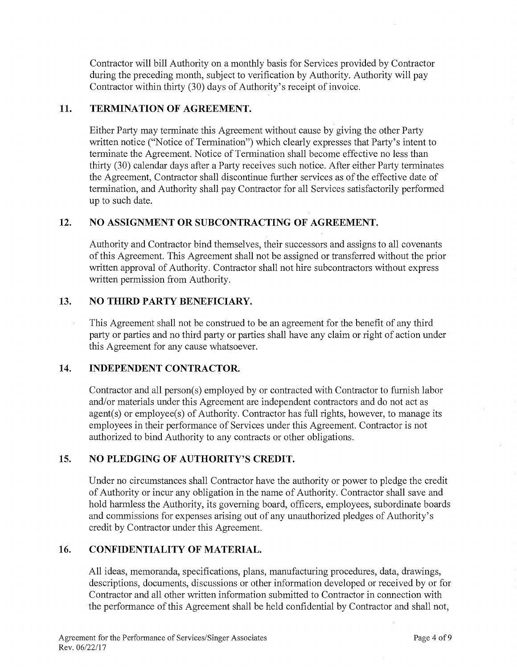Contractor will bill Authority on a monthly basis for Services provided by Contractor during the preceding month, subject to verification by Authority. Authority will pay Contractor within thirty (30) days of Authority's receipt of invoice.

# 11. TERMINATION OF AGREEMENT.

Either Party may terminate this Agreement without cause by giving the other Party written notice ("Notice of Termination") which clearly expresses that Party's intent to terminate the Agreement. Notice of Termination shall become effective no less than thirty (30) calendar days after a Party receives such notice. After either Party terminates the Agreement, Contractor shall discontinue further services as of the effective date of termination, and Authority shall pay Contractor for all Services satisfactorily performed up to such date.

# 12. NO ASSIGNMENT OR SUBCONTRACTING OF AGREEMENT.

Authority and Contractor bind themselves, their successors and assigns to all covenants of this Agreement. This Agreement shall not be assigned or transferred without the prior written approval of Authority. Contractor shall not hire subcontractors without express written permission from Authority.

# 13. NO THIRD PARTY BENEFICIARY.

This Agreement shall not be construed to be an agreement for the benefit of any third party or parties and no third party or patties shall have any claim or right of action under this Agreement for any cause whatsoever.

## 14. INDEPENDENT CONTRACTOR.

Contractor and all person(s) employed by or contracted with Contractor to furnish labor and/or materials under this Agreement are independent contractors and do not act as agent(s) or employee(s) of Authority. Contractor has full rights, however, to manage its employees in their performance of Services under this Agreement. Contractor is not authorized to bind Authority to any contracts or other obligations.

## 15. NO PLEDGING OF AUTHORITY'S CREDIT.

Under no circumstances shall Contractor have the authority or power to pledge the credit of Authority or incur any obligation in the name of Authority. Contractor shall save and hold harmless the Authority, its governing board, officers, employees, subordinate boards and commissions for expenses arising out of any unauthorized pledges of Authority's credit by Contractor under this Agreement.

## 16. CONFIDENTIALITY OF MATERIAL.

All ideas, memoranda, specifications, plans, manufacturing procedures, data, drawings, descriptions, documents, discussions or other information developed or received by or for Contractor and all other written information submitted to Contractor in connection with the performance of this Agreement shall be held confidential by Contractor and shall not,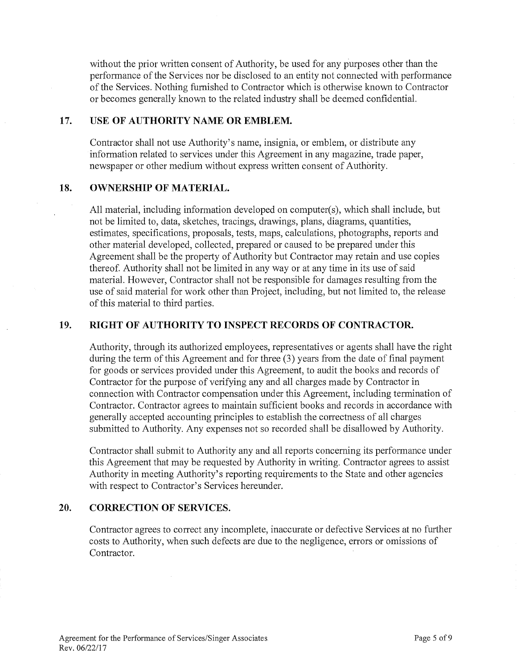without the prior written consent of Authority, be used for any purposes other than the performance of the Services nor be disclosed to an entity not connected with performance of the Services. Nothing furnished to Contractor which is otherwise known to Contractor or becomes generally known to the related industry shall be deemed confidential.

## 17. USE OF AUTHORITY NAME OR EMBLEM.

Contractor shall not use Authority's name, insignia, or emblem, or distribute any information related to services under this Agreement in any magazine, trade paper, newspaper or other medium without express written consent of Authority.

## 18. OWNERSHIP OF MATERIAL.

All material, including information developed on computer(s), which shall include, but not be limited to, data, sketches, tracings, drawings, plans, diagrams, quantities, estimates, specifications, proposals, tests, maps, calculations, photographs, reports and other material developed, collected, prepared or caused to be prepared under this Agreement shall be the property of Authority but Contractor may retain and use copies thereof. Authority shall not be limited in any way or at any time in its use of said material. However, Contractor shall not be responsible for damages resulting from the use of said material for work other than Project, including, but not limited to, the release of this material to third parties.

## 19. RIGHT OF AUTHORITY TO INSPECT RECORDS OF CONTRACTOR.

Authority, through its authorized employees, representatives or agents shall have the right during the term of this Agreement and for three (3) years from the date of final payment for goods or services provided under this Agreement, to audit the books and records of Contractor for the purpose of verifying any and all charges made by Contractor in connection with Contractor compensation under this Agreement, including termination of Contractor. Contractor agrees to maintain sufficient books and records in accordance with generally accepted accounting principles to establish the correctness of all charges submitted to Authority. Any expenses not so recorded shall be disallowed by Authority.

Contractor shall submit to Authority any and all reports concerning its performance under this Agreement that may be requested by Authority in writing. Contractor agrees to assist Authority in meeting Authority's reporting requirements to the State and other agencies with respect to Contractor's Services hereunder.

## 20. CORRECTION OF SERVICES.

Contractor agrees to correct any incomplete, inaccurate or defective Services at no further costs to Authority, when such defects are due to the negligence, errors or omissions of Contractor.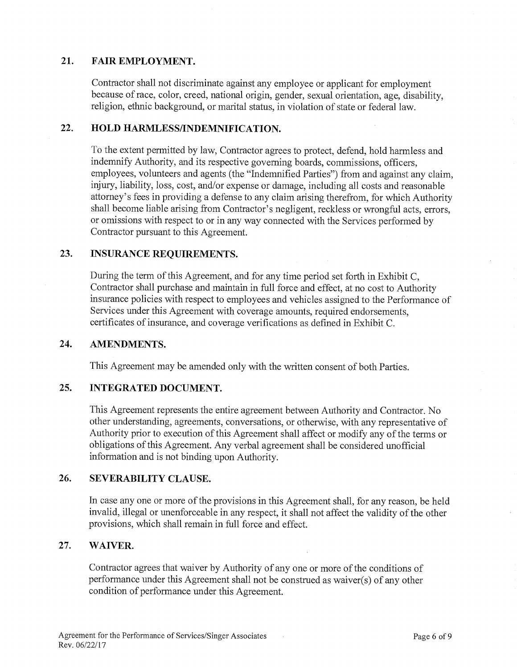# 21. FAIR EMPLOYMENT.

Contractor shall not discriminate against any employee or applicant for employment because of race, color, creed, national origin, gender, sexual orientation, age, disability, religion, ethnic background, or marital status, in violation of state or federal law.

# 22. HOLD HARMLESS/INDEMNIFICATION.

To the extent permitted by law, Contractor agrees to protect, defend, hold harmless and indemnify Authority, and its respective governing boards, commissions, officers, employees, volunteers and agents (the "Indemnified Parties") from and against any claim, injury, liability, loss, cost, and/or expense or damage, including all costs and reasonable attorney's fees in providing a defense to any claim arising therefrom, for which Authority shall become liable arising from Contractor's negligent, reckless or wrongful acts, errors, or omissions with respect to or in any way connected with the Services performed by Contractor pursuant to this Agreement.

# 23. INSURANCE REQUIREMENTS.

During the term of this Agreement, and for any time period set forth in Exhibit C, Contractor shall purchase and maintain in full force and effect, at no cost to Authority insurance policies with respect to employees and vehicles assigned to the Performance of Services under this Agreement with coverage amounts, required endorsements, certificates of insurance, and coverage verifications as defined in Exhibit C.

## 24. AMENDMENTS.

This Agreement may be amended only with the written consent of both Parties.

## 25. INTEGRATED DOCUMENT.

This Agreement represents the entire agreement between Authority and Contractor. No other understanding, agreements, conversations, or otherwise, with any representative of Authority prior to execution of this Agreement shall affect or modify any of the terms or obligations of this Agreement. Any verbal agreement shall be considered unofficial information and is not binding upon Authority.

## 26. SEVERABILITY CLAUSE.

In case any one or more of the provisions in this Agreement shall, for any reason, be held invalid, illegal or unenforceable in any respect, it shall not affect the validity of the other provisions, which shall remain in full force and effect.

## 27. WAIVER.

Contractor agrees that waiver by Authority of any one or more of the conditions of performance under this Agreement shall not be construed as waiver(s) of any other condition of performance under this Agreement.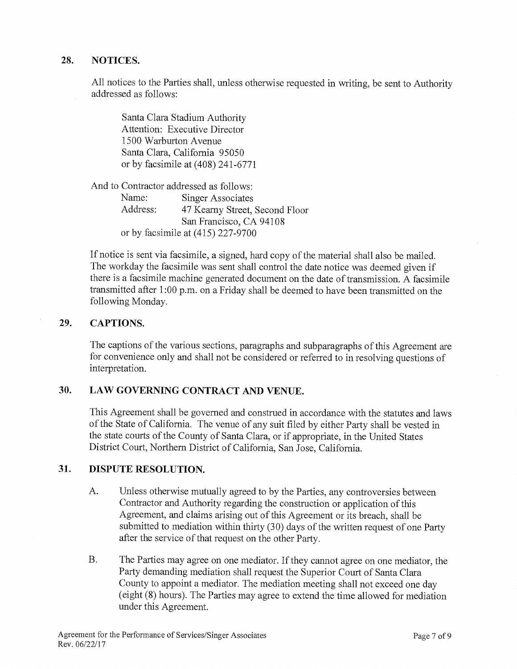# 28. NOTICES.

All notices to the Parties shall, unless otherwise requested in writing, be sent to Authority addressed as follows:

Santa Clara Stadium Authority Attention: Executive Director 1500 Warburton Avenue Santa Clara, California 95050 or by facsimile at (408) 241-6771

And to Contractor addressed as follows: Name: Singer Associates Address: 47 Kearny Street, Second Floor San Francisco, CA 94108 or by facsimile at (415) 227-9700

If notice is sent via facsimile, a signed, hard copy of the material shall also be mailed. The workday the facsimile was sent shall control the date notice was deemed given if there is a facsimile machine generated document on the date of transmission. A facsimile transmitted after 1:00 p.m. on a Friday shall be deemed to have been transmitted on the following Monday.

## 29. CAPTIONS.

The captions of the various sections, paragraphs and subparagraphs of this Agreement are for convenience only and shall not be considered or referred to in resolving questions of interpretation.

# 30. LAW GOVERNING CONTRACT AND VENUE.

This Agreement shall be governed and construed in accordance with the statutes and laws of the State of California. The venue of any suit filed by either Party shall be vested in the state courts of the County of Santa Clara, or if appropriate, in the United States District Court, Northern District of California, San Jose, California.

## 31. DISPUTE RESOLUTION.

- A. Unless otherwise mutually agreed to by the Parties, any controversies between Contractor and Authority regarding the construction or application of this Agreement, and claims arising out of this Agreement or its breach, shall be submitted to mediation within thirty (30) days of the written request of one Party after the service of that request on the other Party.
- B. The Parties may agree on one mediator. If they cannot agree on one mediator, the Party demanding mediation shall request the Superior Court of Santa Clara County to appoint a mediator. The mediation meeting shall not exceed one day (eight (8) hours). The Parties may agree to extend the time allowed for mediation under this Agreement.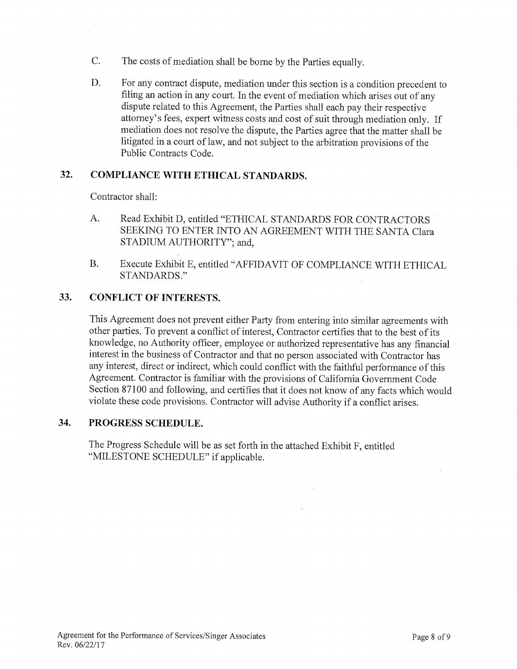- C. The costs of mediation shall be borne by the Parties equally.
- D. For any contract dispute, mediation under this section is a condition precedent to filing an action in any court. In the event of mediation which arises out of any dispute related to this Agreement, the Parties shall each pay their respective attorney's fees, expert witness costs and cost of suit through mediation only. If mediation does not resolve the dispute, the Parties agree that the matter shall be litigated in a court of law, and not subject to the arbitration provisions of the Public Contracts Code.

# 32. COMPLIANCE WITH ETHICAL STANDARDS.

Contractor shall:

- A. Read Exhibit D, entitled "ETHICAL STANDARDS FOR CONTRACTORS SEEKING TO ENTER INTO AN AGREEMENT WITH THE SANTA Clara STADIUM AUTHORITY"; and,
- B. Execute Exhibit E, entitled "AFFIDAVIT OF COMPLIANCE WITH ETHICAL STANDARDS."

# 33. CONFLICT OF INTERESTS.

This Agreement does not prevent either Party from entering into similar agreements with other parties. To prevent a conflict of interest, Contractor certifies that to the best of its knowledge, no Authority officer, employee or authorized representative has any financial interest in the business of Contractor and that no person associated with Contractor has any interest, direct or indirect, which could conflict with the faithful performance of this Agreement. Contractor is familiar with the provisions of California Government Code Section 87100 and following, and certifies that it does not know of any facts which would violate these code provisions. Contractor will advise Authority if a conflict arises.

 $\mathbf{r}$ 

## 34. PROGRESS SCHEDULE.

The Progress Schedule will be as set forth in the attached Exhibit F, entitled "MILESTONE SCHEDULE" if applicable.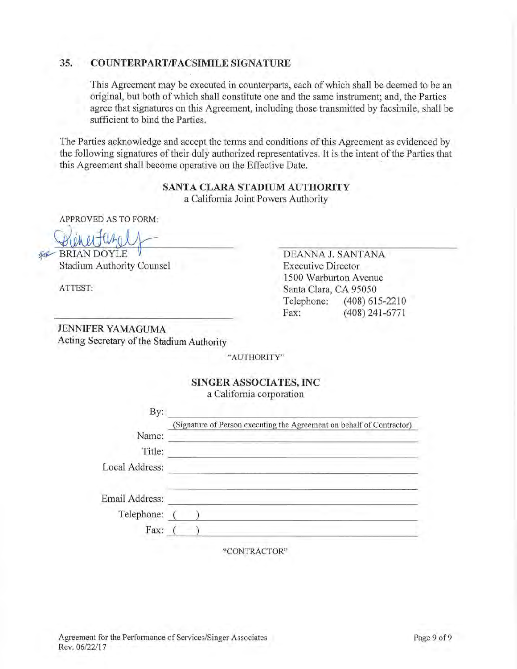# 35. COUNTERPART/FACSIMILE SIGNATURE

This Agreement may be executed in counterparts, each of which shall be deemed to be an original, but both of which shall constitute one and the same instrument; and, the Parties agree that signatures on this Agreement, including those transmitted by facsimile, shall be sufficient to bind the Parties.

The Parties acknowledge and accept the terms and conditions of this Agreement as evidenced by the following signatures of their duly authorized representatives. It is the intent of the Parties that this Agreement shall become operative on the Effective Date.

> SANTA CLARA STADIUM AUTHORITY a California Joint Powers Authority

APPROVED AS TO FORM:

Hinertuzelf fog--BRIAN DOYLE  $\mathcal{U}$ 

Stadium Authority Counsel

ATTEST:

DEANNA J. SANTANA Executive Director 1500 Warburton Avenue Santa Clara, CA 95050 Telephone: (408) 615-2210 Fax: (408) 241-6771

JENNIFER YAMAGUMA Acting Secretary of the Stadium Authority

"AUTHORITY"

# SINGER ASSOCIATES, INC

a California corporation

| By:            |                                                                       |
|----------------|-----------------------------------------------------------------------|
|                | (Signature of Person executing the Agreement on behalf of Contractor) |
| Name:          | state and construction of the state                                   |
| Title:         |                                                                       |
| Local Address: |                                                                       |
| Email Address: |                                                                       |
| Telephone:     |                                                                       |
| Fax:           |                                                                       |

"CONTRACTOR"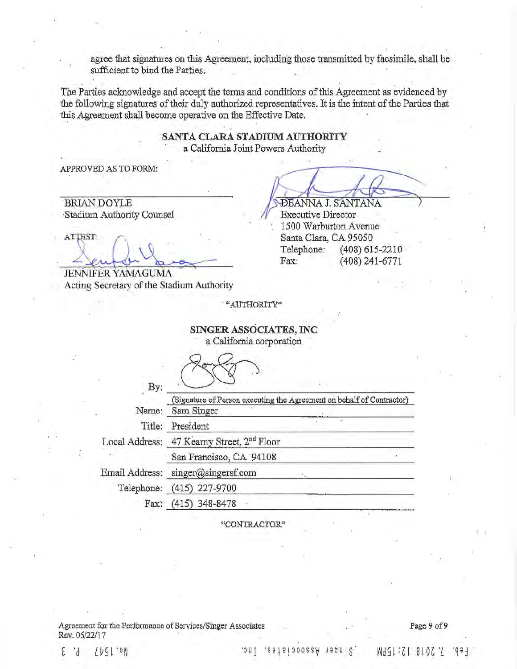agree that signatures on this Agreement, including those transmitted by facsimile, shall be sufficient to bind the Parties.

The Parties acknowledge and accept the terms and conditions of this Agreement as evidenced by the following signatures of their duly authorized representatives. It is the intent of the Parties that this Agreement shall become operative on the Effective Date.

> SANTA CLARA STADIUM AUTHORITY a California Joint Powers Authority

APPROVED AS TO FORM:

, ,,N3TANNA J. SANTANA

(408) 241-6771

1500 Warburton Avenue Santa Clara, CA 95050

Telephone: (408) 615-2210<br>Fax: (408) 241-6771

**BRIAN DOYLE** Stadium Authority Counsel **IV** Executive Director

**ATIEST:** 

JENNIFER YAMAGUMA Acting Secretary of the Stadium Authority

' "AUTHORITY"

# SINGER ASSOCIATES, INC

a California corporation

By:

(Signature of Person executing the Agreement on behalf of Contractor) Name: Sam Singer

Title: President

Local Address: 47 Kearny Street, 2<sup>nd</sup> Floor

San Francisco, CA 94108

Email Address: singer@singersf.com

Telephone: (415) 227-9700

Pax.: (415) 348-8478

"CONTRACTOR"

Agreement for the Performance of Services/Singer Associates Page 9 of 9 key. 06/22/17

E  $\ddot{d}$ 

*1.*2010 12:15PM Aasoociates, Inc. Comparisor and Acid Additional Active Inc. 154/

#### $-$ dəl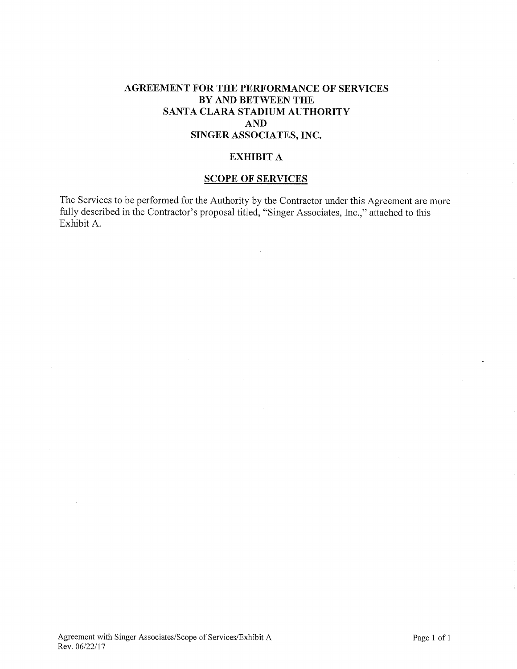# AGREEMENT FOR THE PERFORMANCE OF SERVICES BY AND BETWEEN THE SANTA CLARA STADIUM AUTHORITY AND SINGER ASSOCIATES, INC.

## EXHIBIT A

### SCOPE OF SERVICES

The Services to be performed for the Authority by the Contractor under this Agreement are more fully described in the Contractor's proposal titled, "Singer Associates, Inc.," attached to this Exhibit A.

 $\bar{z}$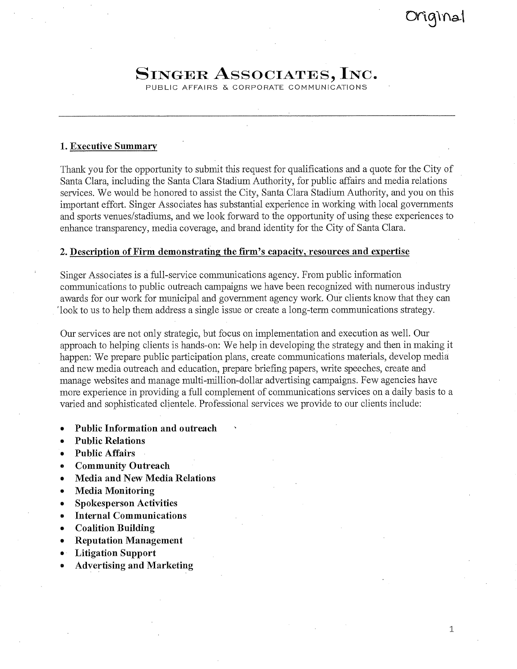1

# SINGER ASSOCIATES, INC.

PUBLIC AFFAIRS & CORPORATE COMMUNICATIONS

## I. Executive Summary

Thank you for the opportunity to submit this request for qualifications and a quote for the City of Santa Clara, including the Santa Clara Stadium Authority, for public affairs and media relations services. We would be honored to assist the City, Santa Clara Stadium Authority, and you on this important effort. Singer Associates has substantial experience in working with local governments and sports venues/stadiums, and we look forward to the opportunity of using these experiences to enhance transparency, media coverage, and brand identity for the City of Santa Clara.

## 2. Description of Firm demonstrating the firm's capacity, resources and expertise

Singer Associates is a full-service communications agency. From public information communications to public outreach campaigns we have been recognized with numerous industry awards for our work for municipal and government agency work. Our clients know that they can 'look to us to help them address a single issue or create a long-term communications strategy.

Our services are not only strategic, but focus on implementation and execution as well. Our approach to helping clients is hands-on: We help in developing the strategy and then in making it happen: We prepare public participation plans, create communications materials, develop media and new media outreach and education, prepare briefing papers, write speeches, create and manage websites and manage multi-million-dollar advertising campaigns. Few agencies have more experience in providing a full complement of communications services on a daily basis to a varied and sophisticated clientele. Professional services we provide to our clients include:

- Public Information and outreach
- Public Relations
- Public Affairs
- Community Outreach
- Media and New Media Relations
- Media Monitoring
- Spokesperson Activities
- Internal Communications
- Coalition Building
- Reputation Management
- Litigation Support
- Advertising and Marketing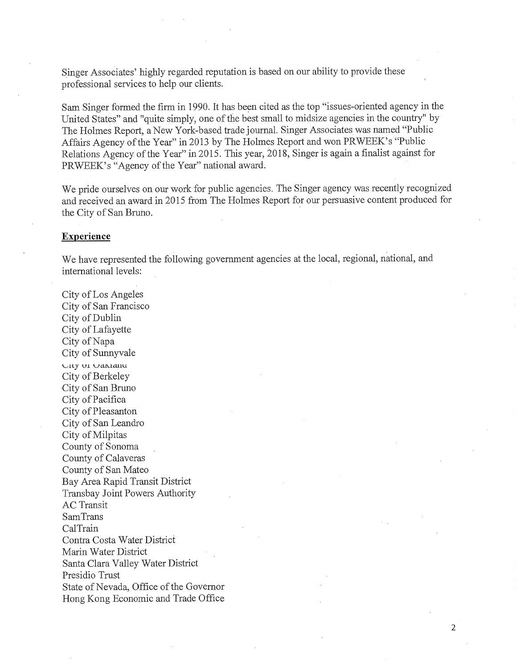Singer Associates' highly regarded reputation is based on our ability to provide these professional services to help our clients.

Sam Singer formed the firm in 1990. It has been cited as the top "issues-oriented agency in the United States" and "quite simply, one of the best small to midsize agencies in the country" by The Holmes Report, a New York-based trade journal. Singer Associates was named "Public Affairs Agency of the Year" in 2013 by The Holmes Report and won PRWEEK's "Public Relations Agency of the Year" in 2015. This year, 2018, Singer is again a finalist against for PRWEEK's "Agency of the Year" national award.

We pride ourselves on our work for public agencies. The Singer agency was recently recognized and received an award in 2015 from The Holmes Report for our persuasive content produced for the City of San Bruno.

#### Experience

We have represented the following government agencies at the local, regional, national, and international levels:

2

City of Los Angeles City of San Francisco City of Dublin City of Lafayette City of Napa City of Sunnyvale iLy ui jaiaauu City of Berkeley City of San Bruno City of Pacifica City of Pleasanton City of San Leandro City of Milpitas County of Sonoma County of Calaveras County of San Mateo Bay Area Rapid Transit District Transbay Joint Powers Authority AC Transit SamTrans CalTrain Contra Costa Water District Mann Water District Santa Clara Valley Water District Presidio Trust State of Nevada, Office of the Governor Hong Kong Economic and Trade Office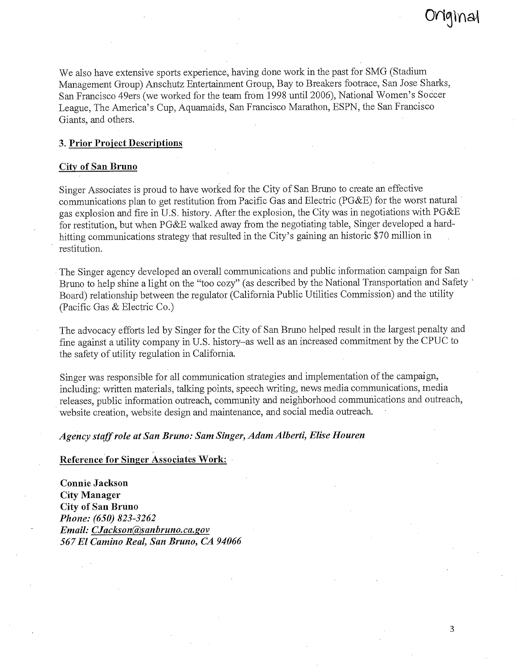We also have extensive sports experience, having done work in the past for SMG (Stadium Management Group) Anschutz Entertainment Group, Bay to Breakers footrace, San Jose Sharks, San Francisco 49ers (we worked for the team from 1998 until 2006), National Women's Soccer League, The America's Cup, Aquamaids, San Francisco Marathon, ESPN, the San Francisco Giants, and others.

## 3. Prior Project Descriptions

#### City of San Bruno

Singer Associates is proud to have worked for the City of San Bruno to create an effective communications plan to get restitution from Pacific Gas and Electric (PG&E) for the worst natural gas explosion and fire in U.S. history. After the explosion, the City was in negotiations with PG&E for restitution, but when PG&E walked away from the negotiating table, Singer developed a hardhitting communications strategy that resulted in the City's gaining an historic \$70 million in restitution.

The Singer agency developed an overall communications and public information campaign for San Bruno to help shine a light on the "too cozy" (as described by the National Transportation and Safety Board) relationship between the regulator (California Public Utilities Commission) and the utility (Pacific Gas & Electric Co.)

The advocacy efforts led by Singer for the City of San Bruno helped result in the largest penalty and fine against a utility company in U.S. history—as well as an increased commitment by the CPUC to the safety of utility regulation in California.

Singer was responsible for all communication strategies and implementation of the campaign, including: written materials, talking points, speech writing, news media communications, media releases, public information outreach, community and neighborhood communications and outreach, website creation, website design and maintenance, and social media outreach.

## *Agency staff role at San Bruno: Sam Singer, Adam Alberti, Elise Houren*

#### Reference for Singer Associates Work:

Connie Jackson City Manager City of San Bruno *Phone: (650) 823-3262 Email: CJackson(&)sanbruno.ca.gov 567 El Camino Real, San Bruno, CA 94066*  l9INal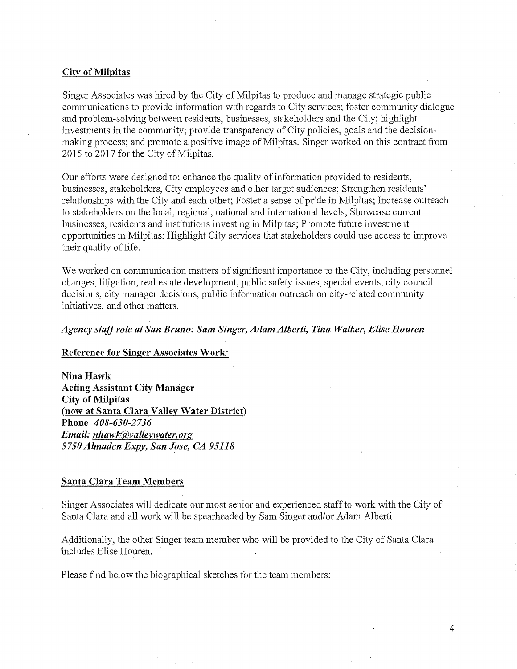#### City of Milpitas

Singer Associates was hired by the City of Milpitas to produce and manage strategic public communications to provide information with regards to City services; foster community dialogue and problem-solving between residents, businesses, stakeholders and the City; highlight investments in the community; provide transparency of City policies, goals and the decisionmaking process; and promote a positive image of Milpitas. Singer worked on this contract from 2015 to 2017 for the City of Milpitas.

Our efforts were designed to: enhance the quality of information provided to residents, businesses, stakeholders, City employees and other target audiences; Strengthen residents' relationships with the City and each other; Foster a sense of pride in Milpitas; Increase outreach to stakeholders on the local, regional, national and international levels; Showcase current businesses, residents and institutions investing in Milpitas; Promote future investment opportunities in Milpitas; Highlight City services that stakeholders could use access to improve their quality of life.

We worked on communication matters of significant importance to the City, including personnel changes, litigation, real estate development, public safety issues, special events, city council decisions, city manager decisions, public information outreach on city-related community initiatives, and other matters.

#### *Agency staff role at San Bruno: Sam Singer, Adam Alberti, Tina Walker, Elise Houren*

#### Reference for Singer Associates Work:

Nina Hawk Acting Assistant City Manager City of Milpitas (now at Santa Clara Valley Water District) Phone: *408-630-2736 Email: nhawk@yalleywater.org 5750 Almaden Expy, San Jose, CA 95118* 

## Santa Clara Team Members

Singer Associates will dedicate our most senior and experienced staff to work with the City of Santa Clara and all work will be spearheaded by Sam Singer and/or Adam Alberti

Additionally, the other Singer team member who will be provided to the City of Santa Clara includes Elise Houren.

Please find below the biographical sketches for the team members: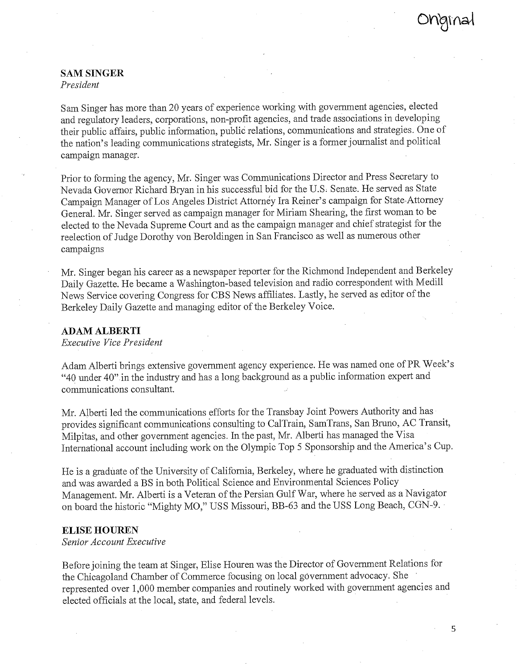# SAM SINGER

*President* 

Sam Singer has more than 20 years of experience working with government agencies, elected and regulatory leaders, corporations, non-profit agencies, and trade associations in developing their public affairs, public information, public relations, communications and strategies. One of the nation's leading communications strategists, Mr. Singer is a former journalist and political campaign manager.

Prior to forming the agency, Mr. Singer was Communications Director and Press Secretary to Nevada Governor Richard Bryan in his successful bid for the U.S. Senate. He served as State Campaign Manager of Los Angeles District Attorney Ira Reiner's campaign for State Attorney General. Mr. Singer served as campaign manager for Miriam Shearing, the first woman to be elected to the Nevada Supreme Court and as the campaign manager and chief strategist for the reelection of Judge Dorothy von Beroldingen in San Francisco as well as numerous other campaigns

Mr. Singer began his career as a newspaper reporter for the Richmond Independent and Berkeley Daily Gazette. He became a Washington-based television and radio correspondent with Medill News Service covering Congress for CBS News affiliates. Lastly, he served as editor of the Berkeley Daily Gazette and managing editor of the Berkeley Voice.

#### ADAM ALBERTI

*Executive Vice President* 

Adam Alberti brings extensive government agency experience. He was named one of PR Week's "40 under 40" in the industry and has a long background as a public information expert and communications consultant.

Mr. Alberti led the communications efforts for the Transbay Joint Powers Authority and has provides significant communications consulting to CalTrain, SamTrans, San Bruno, AC Transit, Milpitas, and other government agencies. In the past, Mr. Alberti has managed the Visa International account including work on the Olympic Top 5 Sponsorship and the America's Cup.

He is a graduate of the University of California, Berkeley, where he graduated with distinction and was awarded a BS in both Political Science and Environmental Sciences Policy Management. Mr. Alberti is a Veteran of the Persian Gulf War, where he served as a Navigator on board the historic "Mighty MO," USS Missouri, BB-63 and the USS Long Beach, CGN-9.

## ELISE HOUREN

*Senior Account Executive* 

Before joining the team at Singer, Elise Houren was the Director of Government Relations for the Chicagoland Chamber of Commerce focusing on local government advocacy. She represented over 1,000 member companies and routinely worked with government agencies and elected officials at the local, state, and federal levels.

5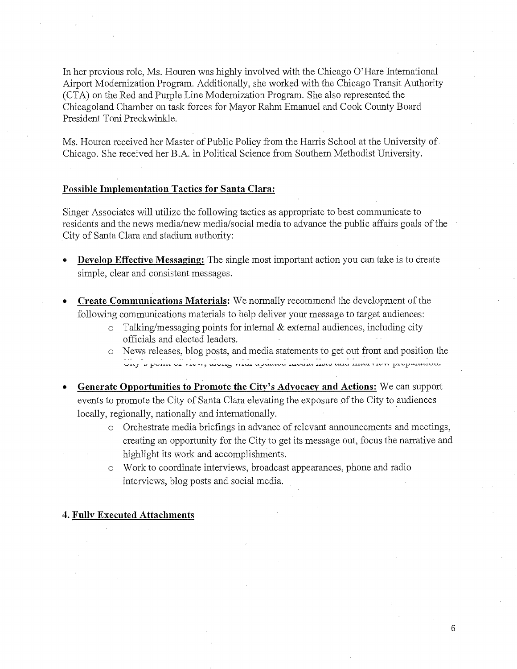In her previous role, Ms. Houren was highly involved with the Chicago O'Hare International Airport Modernization Program. Additionally, she worked with the Chicago Transit Authority (CTA) on the Red and Purple Line Modernization Program. She also represented the Chicagoland Chamber on task forces for Mayor Rabm Emanuel and Cook County Board President Toni Preckwinkle

Ms. Houren received her Master of Public Policy from the Harris School at the University of Chicago. She received her B.A. in Political Science from Southern Methodist University.

#### Possible Implementation Tactics for Santa Clara:

Singer Associates will utilize the following tactics as appropriate to best communicate to residents and the news media/new media/social media to advance the public affairs goals of the City of Santa Clara and stadium authority:

- Develop Effective Messaging: The single most important action you can take is to create simple, clear and consistent messages.
- Create Communications Materials: We normally recommend the development of the following communications materials to help deliver your message to target audiences:
	- $\circ$  Talking/messaging points for internal & external audiences, including city officials and elected leaders. -
	- o News releases, blog posts, and media statements to get out front and position the the state of the transformation of the contract of the state of the state of the proposition.
- Generate Opportunities to Promote the City's Advocacy and Actions: We can support events to promote the City of Santa Clara elevating the exposure of the City to audiences locally, regionally, nationally and internationally.
	- o Orchestrate media briefings in advance of relevant announcements and meetings, creating an opportunity for the City to get its message out, focus the narrative and highlight its work and accomplishments.
	- o Work to coordinate interviews, broadcast appearances, phone and radio interviews, blog posts and social media.

## 4. Fully Executed Attachments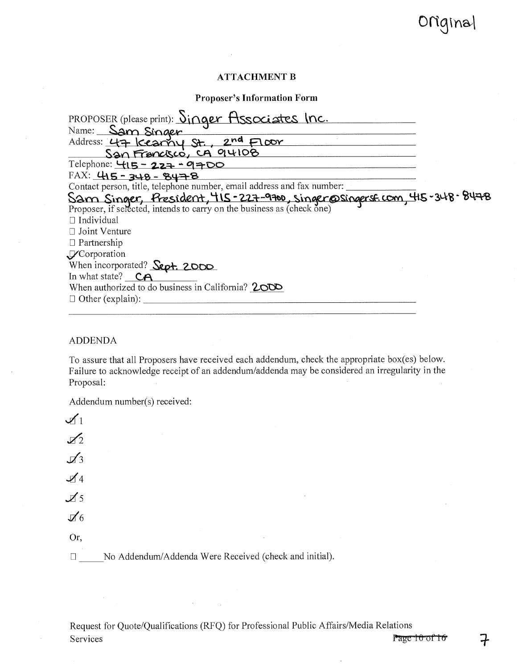## ATTACHMENT B

## Proposer's Information Form

| PROPOSER (please print): Singer Associates Inc.                          |
|--------------------------------------------------------------------------|
| Name: Sam Singer                                                         |
| Address: 47 Kearny St., 2nd Floor                                        |
| San Francisco, CA 94108                                                  |
| Telephone: $415 - 227 - 9700$                                            |
| $FAX: 415 - 348 - 8478$                                                  |
| Contact person, title, telephone number, email address and fax number:   |
| Sam Singer, President, 415-227-9700, singer @ singersf.com, 415-348-8478 |
|                                                                          |
| $\Box$ Individual                                                        |
| $\Box$ Joint Venture                                                     |
| $\Box$ Partnership                                                       |
| VCorporation                                                             |
| When incorporated? Sept. 2000                                            |
| In what state? $CA$                                                      |
| When authorized to do business in California? 2000                       |
| $\Box$ Other (explain):                                                  |
|                                                                          |

## ADDENDA

To assure that all Proposers have received each addendum, check the appropriate box(es) below. Failure to acknowledge receipt of an addendum/addenda may be considered an irregularity in the Proposal:

Addendum number(s) received:

| $\mathcal{I}_1$            |                                                                                     |
|----------------------------|-------------------------------------------------------------------------------------|
| $\mathcal{L}_2$            | and the control of the con-                                                         |
| $\mathcal{A}^3$            | and the con-                                                                        |
| $\mathcal{A}$ 4            |                                                                                     |
| $\overline{\mathcal{A}}$ 5 | the contract of the contract of the contract of the contract of                     |
| $\mathcal{J}6$             |                                                                                     |
| Or,                        | the control of the control of the control of<br>the contract of the contract of the |
|                            | No Addendum/Addenda Were Received (check and initial).                              |

 $\sim$ 

Request for Quote/Qualifications (RFQ) for Professional Public Affairs/Media Relations Services Page 10 of 16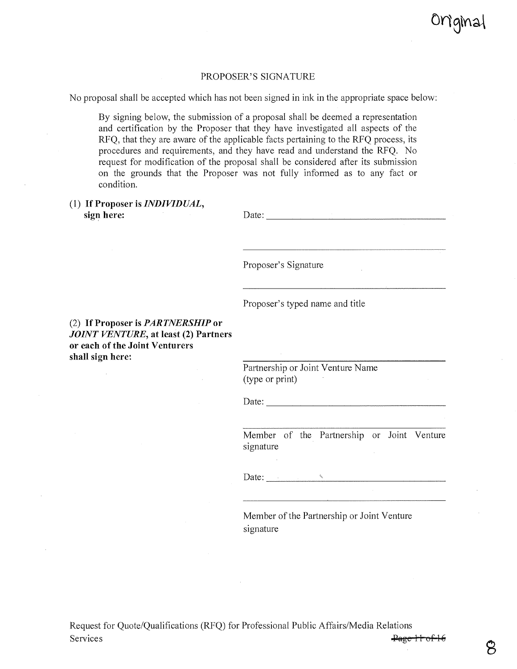Onginal

#### PROPOSER'S SIGNATURE

No proposal shall be accepted which has not been signed in ink in the appropriate space below:

By signing below, the submission of a proposal shall be deemed a representation and certification by the Proposer that they have investigated all aspects of the RFQ, that they are aware of the applicable facts pertaining to the RFQ process, its procedures and requirements, and they have read and understand the RFQ. No request for modification of the proposal shall be considered after its submission on the grounds that the Proposer was not fully informed as to any fact or condition.

(1) If Proposer is *INDIVIDUAL,*  sign here:

| Date: |  |
|-------|--|
|       |  |

Proposer's Signature

Proposer's typed name and title

(2) If Proposer is *PARTNERSHIP* or *JOINT VENTURE,* at least (2) Partners or each of the Joint Venturers shall sign here:

> Partnership or Joint Venture Name (type or print)

Date:

Member of the Partnership or Joint Venture signature

Date:

Member of the Partnership or Joint Venture signature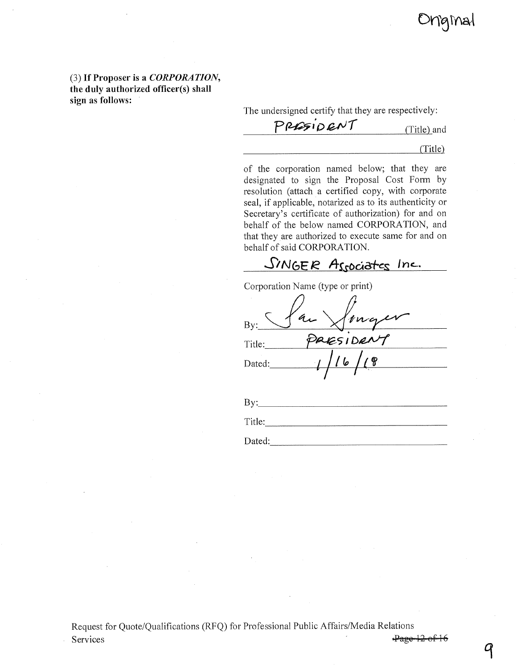

(3) If Proposer is a *CORPORATION,*  the duly authorized officer(s) shall sign as follows:

The undersigned certify that they are respectively:<br> *PP<del>LE</del>*  $\overline{P}$  *P*  $\overline{CP}$   $\overline{CP}$  (Title) and

#### (Title)

of the corporation named below; that they are designated to sign the Proposal Cost Form by resolution (attach a certified copy, with corporate seal, if applicable, notarized as to its authenticity or Secretary's certificate of authorization) for and on behalf of the below named CORPORATION, and that they are authorized to execute same for and on behalf of said CORPORATION.

SINGER Associates Inc.

| Corporation Name (type or print) |
|----------------------------------|
|                                  |
| $\sqrt[n]{n}$<br>By:             |
| ESIDER<br>Title:                 |
| 6<br>Dated:                      |
|                                  |
|                                  |

| Bv:    |  |  |            |
|--------|--|--|------------|
| Title: |  |  |            |
| Dated: |  |  | ---------- |

 $\mathcal{F}$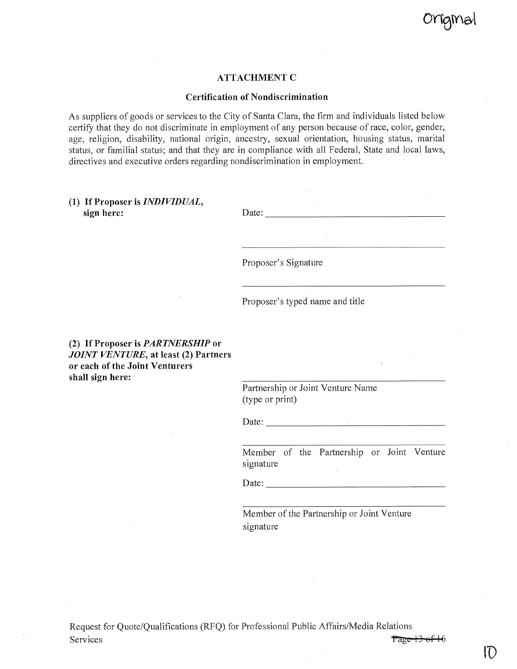

## ATTACHMENT C

#### Certification of Nondiscrimination

As suppliers of goods or services to the City of Santa Clara, the firm and individuals listed below certify that they do not discriminate in employment of any person because of race, color, gender, age, religion, disability, national origin, ancestry, sexual orientation, housing status, marital status, or familial status; and that they are in compliance with all Federal, State and local laws, directives and executive orders regarding nondiscrimination in employment.

## (1) If Proposer is *INDIVIDUAL,*  sign here:

| $\Gamma$ ate |  |  |
|--------------|--|--|

Proposer's Signature

Proposer's typed name and title

## (2) If Proposer is *PARTNERSHIP* or *JOINT VENTURE,* at least (2) Partners or each of the Joint Venturers shall sign here:

Partnership or Joint Venture Name (type or print)

Date:

Member of the Partnership or Joint Venture signature

Date:

Member of the Partnership or Joint Venture signature

ID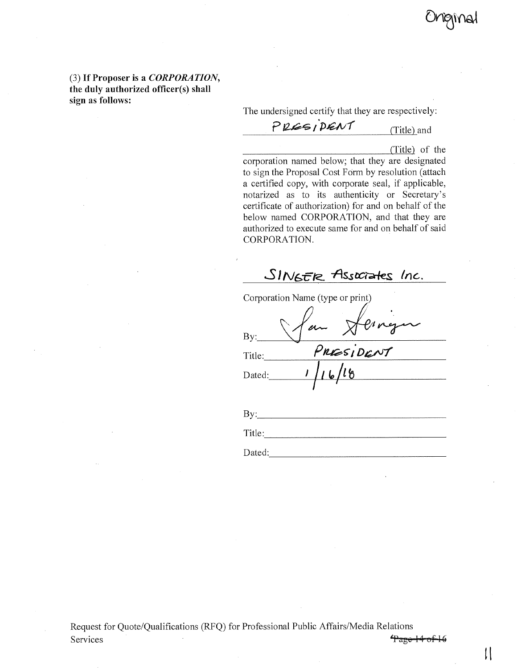nginal

(3) If Proposer is a *CORPORATION,*  the duly authorized officer(s) shall sign as follows:

The undersigned certify that they are respectively:

PRESIDENT (Title) and

(Title) of the

corporation named below; that they are designated to sign the Proposal Cost Form by resolution (attach a certified copy, with corporate seal, if applicable, notarized as to its authenticity or Secretary's certificate of authorization) for and on behalf of the below named CORPORATION, and that they are authorized to execute same for and on behalf of said CORPORATION.

*A/6-5* **-ASS** taa-fe,s inc.

|        | Corporation Name (type or print) |
|--------|----------------------------------|
|        |                                  |
| By:    |                                  |
| Title: | PRESIDENT                        |
| Dated: |                                  |
|        |                                  |
|        |                                  |

| B <sub>1</sub> |  |  |  |
|----------------|--|--|--|
| Title:         |  |  |  |
| Dated:         |  |  |  |

Request for Quote/Qualifications (RFQ) for Professional Public Affairs/Media Relations Services Page 14 of 16

 $\mathop{\textstyle\bigcup}\limits$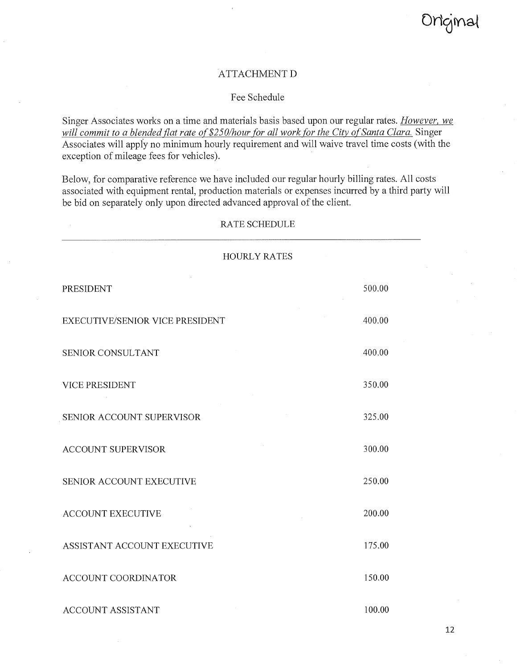## ATTACHMENT D

## Fee Schedule

Singer Associates works on a time and materials basis based upon our regular rates. *However, we*  will commit to a blended flat rate of \$250/hour for all work for the City of Santa Clara. Singer Associates will apply no minimum hourly requirement and will waive travel time costs (with the exception of mileage fees for vehicles).

Below, for comparative reference we have included our regular hourly billing rates. All costs associated with equipment rental, production materials or expenses incurred by a third party will be bid on separately only upon directed advanced approval of the client.

| <b>HOURLY RATES</b>             |        |
|---------------------------------|--------|
| PRESIDENT                       | 500.00 |
| EXECUTIVE/SENIOR VICE PRESIDENT | 400.00 |
| SENIOR CONSULTANT               | 400.00 |
| <b>VICE PRESIDENT</b>           | 350.00 |
| SENIOR ACCOUNT SUPERVISOR       | 325.00 |
| <b>ACCOUNT SUPERVISOR</b>       | 300.00 |
| SENIOR ACCOUNT EXECUTIVE        | 250.00 |
| <b>ACCOUNT EXECUTIVE</b>        | 200.00 |
| ASSISTANT ACCOUNT EXECUTIVE     | 175.00 |
| <b>ACCOUNT COORDINATOR</b>      | 150.00 |
| <b>ACCOUNT ASSISTANT</b>        | 100.00 |

RATE SCHEDULE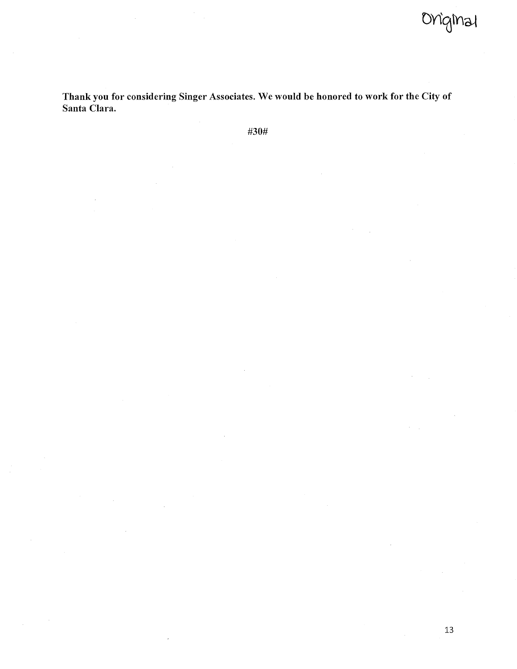DY19Mai

Thank you for considering Singer Associates. We would be honored to work for the City of Santa Clara.

#30#

 $\bar{z}$ 

 $\sim$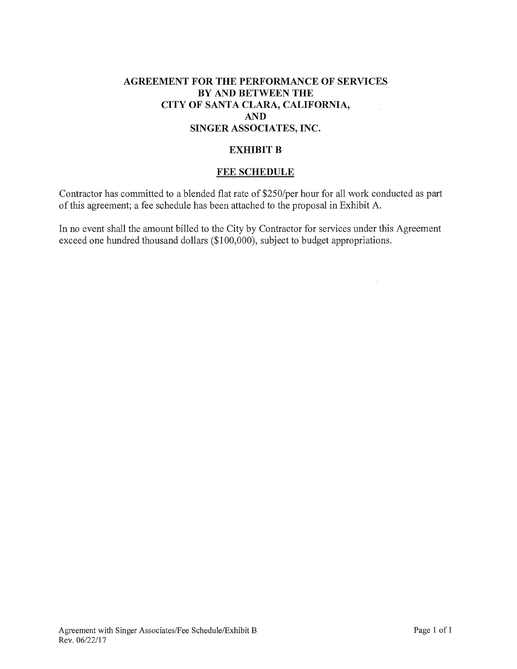# AGREEMENT FOR THE PERFORMANCE OF SERVICES BY AND BETWEEN THE CITY OF SANTA CLARA, CALIFORNIA, AND SINGER ASSOCIATES, INC.

## EXHIBIT B

## FEE SCHEDULE

Contractor has committed to a blended flat rate of \$250/per hour for all work conducted as part of this agreement; a fee schedule has been attached to the proposal in Exhibit A.

In no event shall the amount billed to the City by Contractor for services under this Agreement exceed one hundred thousand dollars (\$100,000), subject to budget appropriations.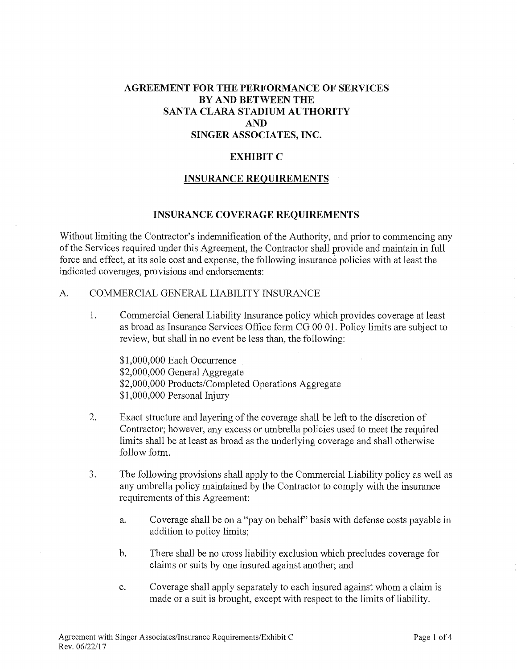# AGREEMENT FOR THE PERFORMANCE OF SERVICES BY AND BETWEEN THE SANTA CLARA STADIUM AUTHORITY AND SINGER ASSOCIATES, INC.

## EXHIBIT C

### INSURANCE REQUIREMENTS

#### INSURANCE COVERAGE REQUIREMENTS

Without limiting the Contractor's indemnification of the Authority, and prior to commencing any of the Services required under this Agreement, the Contractor shall provide and maintain in full force and effect, at its sole cost and expense, the following insurance policies with at least the indicated coverages, provisions and endorsements:

## A. COMMERCIAL GENERAL LIABILITY INSURANCE

1. Commercial General Liability Insurance policy which provides coverage at least as broad as Insurance Services Office form CG 00 01. Policy limits are subject to review, but shall in no event be less than, the following:

\$1,000,000 Each Occurrence \$2,000,000 General Aggregate \$2,000,000 Products/Completed Operations Aggregate \$1,000,000 Personal Injury

- 2. Exact structure and layering of the coverage shall be left to the discretion of Contractor; however, any excess or umbrella policies used to meet the required limits shall be at least as broad as the underlying coverage and shall otherwise follow form.
- 3. The following provisions shall apply to the Commercial Liability policy as well as any umbrella policy maintained by the Contractor to comply with the insurance requirements of this Agreement:
	- a. Coverage shall be on a "pay on behalf' basis with defense costs payable in addition to policy limits;
	- b. There shall be no cross liability exclusion which precludes coverage for claims or suits by one insured against another; and
	- c. Coverage shall apply separately to each insured against whom a claim is made or a suit is brought, except with respect to the limits of liability.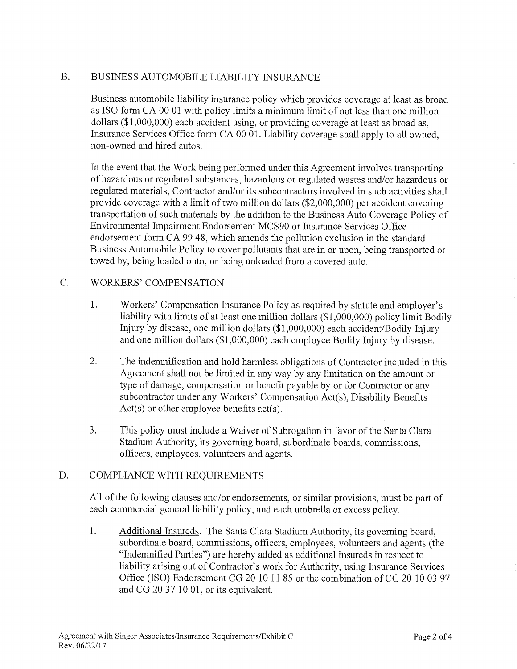# B. BUSINESS AUTOMOBILE LIABILITY INSURANCE

Business automobile liability insurance policy which provides coverage at least as broad as ISO form CA 00 01 with policy limits a minimum limit of not less than one million dollars (\$1,000,000) each accident using, or providing coverage at least as broad as, Insurance Services Office form CA 00 01. Liability coverage shall apply to all owned, non-owned and hired autos.

In the event that the Work being performed under this Agreement involves transporting of hazardous or regulated substances, hazardous or regulated wastes and/or hazardous or regulated materials, Contractor and/or its subcontractors involved in such activities shall provide coverage with a limit of two million dollars (\$2,000,000) per accident covering transportation of such materials by the addition to the Business Auto Coverage Policy of Environmental Impairment Endorsement MCS90 or Insurance Services Office endorsement form CA 99 48, which amends the pollution exclusion in the standard Business Automobile Policy to cover pollutants that are in or upon, being transported or towed by, being loaded onto, or being unloaded from a covered auto.

## C. WORKERS' COMPENSATION

- 1. Workers' Compensation Insurance Policy as required by statute and employer's liability with limits of at least one million dollars (\$1,000,000) policy limit Bodily Injury by disease, one million dollars (\$1,000,000) each accident/Bodily Injury and one million dollars (\$1,000,000) each employee Bodily Injury by disease.
- 2. The indemnification and hold harmless obligations of Contractor included in this Agreement shall not be limited in any way by any limitation on the amount or type of damage, compensation or benefit payable by or for Contractor or any subcontractor under any Workers' Compensation Act(s), Disability Benefits Act(s) or other employee benefits act(s).
- 3. This policy must include a Waiver of Subrogation in favor of the Santa Clara Stadium Authority, its governing board, subordinate boards, commissions, officers, employees, volunteers and agents.

## D. COMPLIANCE WITH REQUIREMENTS

All of the following clauses and/or endorsements, or similar provisions, must be part of each commercial general liability policy, and each umbrella or excess policy.

1. Additional Insureds. The Santa Clara Stadium Authority, its governing board, subordinate board, commissions, officers, employees, volunteers and agents (the "Indemnified Parties") are hereby added as additional insureds in respect to liability arising out of Contractor's work for Authority, using Insurance Services Office (ISO) Endorsement CG 20 10 11 85 or the combination of CG 20 10 03 97 and CG 20 37 10 01, or its equivalent.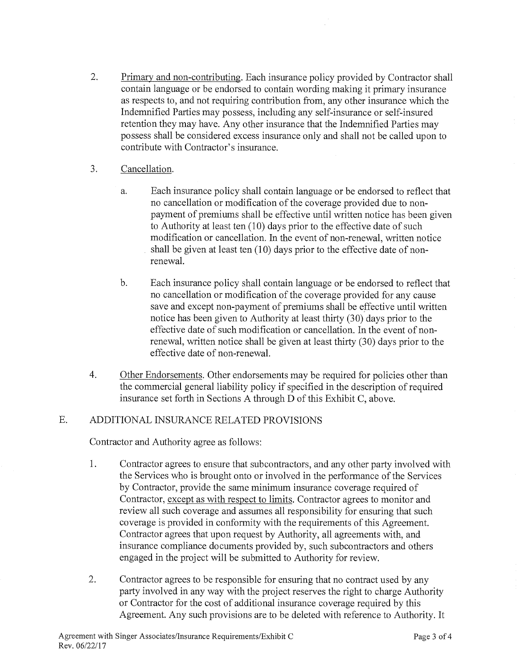- 2. Primary and non-contributing. Each insurance policy provided by Contractor shall contain language or be endorsed to contain wording making it primary insurance as respects to, and not requiring contribution from, any other insurance which the Indemnified Parties may possess, including any self-insurance or self-insured retention they may have. Any other insurance that the Indemnified Parties may possess shall be considered excess insurance only and shall not be called upon to contribute with Contractor's insurance.
- 3. Cancellation.
	- a. Each insurance policy shall contain language or be endorsed to reflect that no cancellation or modification of the coverage provided due to nonpayment of premiums shall be effective until written notice has been given to Authority at least ten (10) days prior to the effective date of such modification or cancellation. In the event of non-renewal, written notice shall be given at least ten (10) days prior to the effective date of nonrenewal.
	- b. Each insurance policy shall contain language or be endorsed to reflect that no cancellation or modification of the coverage provided for any cause save and except non-payment of premiums shall be effective until written notice has been given to Authority at least thirty (30) days prior to the effective date of such modification or cancellation. In the event of nonrenewal, written notice shall be given at least thirty (30) days prior to the effective date of non-renewal.
- 4. Other Endorsements. Other endorsements may be required for policies other than the commercial general liability policy if specified in the description of required insurance set forth in Sections A through D of this Exhibit C, above.

# E. ADDITIONAL INSURANCE RELATED PROVISIONS

Contractor and Authority agree as follows:

- 1. Contractor agrees to ensure that subcontractors, and any other party involved with the Services who is brought onto or involved in the performance of the Services by Contractor, provide the same minimum insurance coverage required of Contractor, except as with respect to limits Contractor agrees to monitor and review all such coverage and assumes all responsibility for ensuring that such coverage is provided in conformity with the requirements of this Agreement. Contractor agrees that upon request by Authority, all agreements with, and insurance compliance documents provided by, such subcontractors and others engaged in the project will be submitted to Authority for review.
- 2. Contractor agrees to be responsible for ensuring that no contract used by any party involved in any way with the project reserves the right to charge Authority or Contractor for the cost of additional insurance coverage required by this Agreement. Any such provisions are to be deleted with reference to Authority. It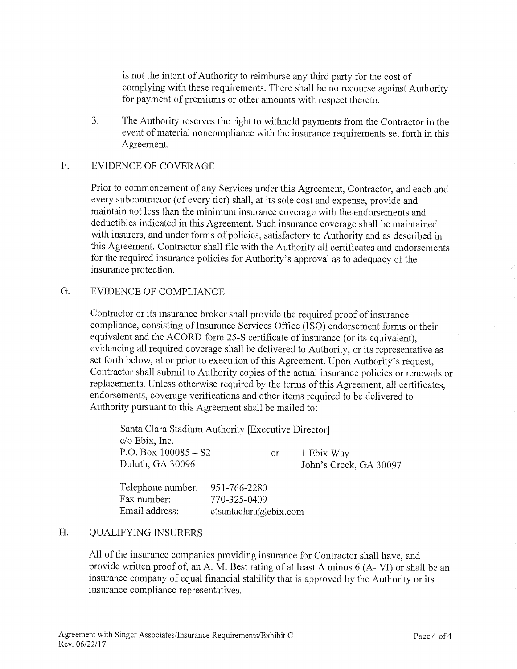is not the intent of Authority to reimburse any third party for the cost of complying with these requirements. There shall be no recourse against Authority for payment of premiums or other amounts with respect thereto.

3. The Authority reserves the right to withhold payments from the Contractor in the event of material noncompliance with the insurance requirements set forth in this Agreement.

# F. EVIDENCE OF COVERAGE

Prior to commencement of any Services under this Agreement, Contractor, and each and every subcontractor (of every tier) shall, at its sole cost and expense, provide and maintain not less than the minimum insurance coverage with the endorsements and deductibles indicated in this Agreement. Such insurance coverage shall be maintained with insurers, and under forms of policies, satisfactory to Authority and as described in this Agreement. Contractor shall file with the Authority all certificates and endorsements for the required insurance policies for Authority's approval as to adequacy of the insurance protection.

## G. EVIDENCE OF COMPLIANCE

Contractor or its insurance broker shall provide the required proof of insurance compliance, consisting of Insurance Services Office (ISO) endorsement forms or their equivalent and the ACORD form 25-S certificate of insurance (or its equivalent), evidencing all required coverage shall be delivered to Authority, or its representative as set forth below, at or prior to execution of this Agreement. Upon Authority's request, Contractor shall submit to Authority copies of the actual insurance policies or renewals or replacements. Unless otherwise required by the terms of this Agreement, all certificates, endorsements, coverage verifications and other items required to be delivered to Authority pursuant to this Agreement shall be mailed to:

Santa Clara Stadium Authority [Executive Director] c/o Ebix, Inc. P.O. Box  $100085 - S2$  or 1 Ebix Way Duluth, GA 30096 John's Creek, GA 30097

Telephone number: 951-766-2280 Fax number: 770-325-0409 Email address: ctsantaclara@ebix.com

# H. QUALIFYING INSURERS

All of the insurance companies providing insurance for Contractor shall have, and provide written proof of, an A. M. Best rating of at least A minus 6 (A- VI) or shall be an insurance company of equal financial stability that is approved by the Authority or its insurance compliance representatives.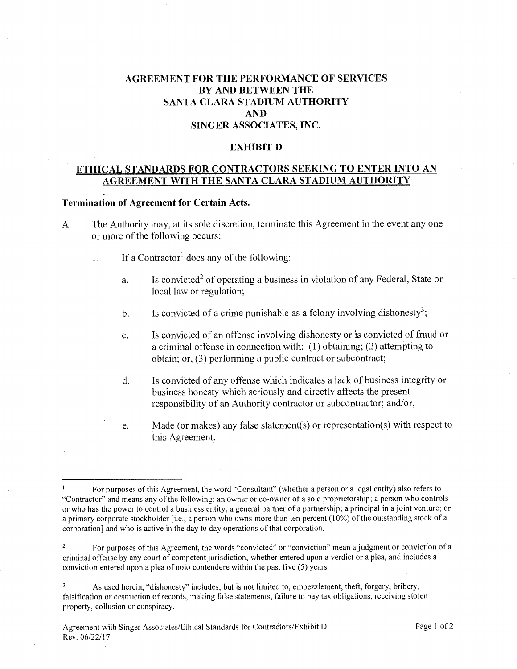# AGREEMENT FOR THE PERFORMANCE OF SERVICES BY AND BETWEEN THE SANTA CLARA STADIUM AUTHORITY AND SINGER ASSOCIATES, INC.

#### EXHIBIT D

## ETHICAL STANDARDS FOR CONTRACTORS SEEKING TO ENTER INTO AN AGREEMENT WITH THE SANTA CLARA STADIUM AUTHORITY

#### Termination of Agreement for Certain Acts.

- A. The Authority may, at its sole discretion, terminate this Agreement in the event any one or more of the following occurs:
	- 1. If a Contractor' does any of the following:
		- a. Is convicted<sup>2</sup> of operating a business in violation of any Federal, State or local law or regulation;
		- b. Is convicted of a crime punishable as a felony involving dishonesty<sup>3</sup>;
		- c. Is convicted of an offense involving dishonesty or is convicted of fraud or a criminal offense in connection with: (1) obtaining; (2) attempting to obtain; or, (3) performing a public contract or subcontract;
		- d. Is convicted of any offense which indicates a lack of business integrity or business honesty which seriously and directly affects the present responsibility of an Authority contractor or subcontractor; and/or,
		- e. Made (or makes) any false statement(s) or representation(s) with respect to this Agreement.

For purposes of this Agreement, the word "Consultant" (whether a person or a legal entity) also refers to "Contractor" and means any of the following: an owner or co-owner of a sole proprietorship; a person who controls or who has the power to control a business entity; a general partner of a partnership; a principal in a joint venture; or a primary corporate stockholder [i.e., a person who owns more than ten percent (10%) of the outstanding stock of a corporation] and who is active in the day to day operations of that corporation.

<sup>&</sup>lt;sup>2</sup> For purposes of this Agreement, the words "convicted" or "conviction" mean a judgment or conviction of a criminal offense by any court of competent jurisdiction, whether entered upon a verdict or a plea, and includes a conviction entered upon a plea of nolo contendere within the past five (5) years.

<sup>&</sup>lt;sup>3</sup> As used herein, "dishonesty" includes, but is not limited to, embezzlement, theft, forgery, bribery, falsification or destruction of records, making false statements, failure to pay tax obligations, receiving stolen property, collusion or conspiracy.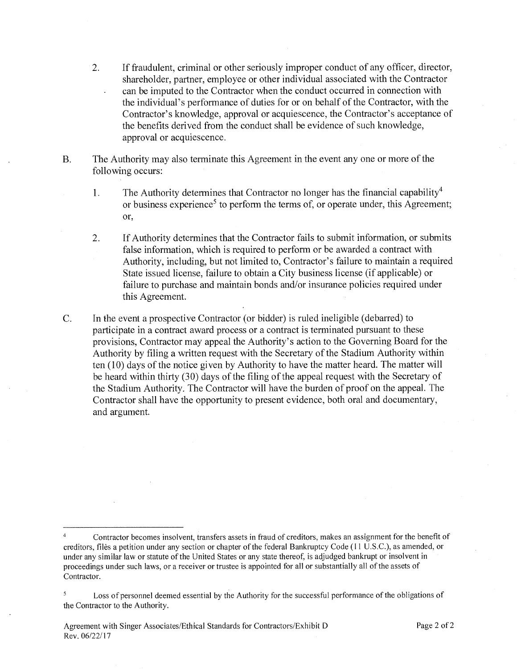- 2. If fraudulent, criminal or other seriously improper conduct of any officer, director, shareholder, partner, employee or other individual associated with the Contractor can be imputed to the Contractor when the conduct occurred in connection with the individual's performance of duties for or on behalf of the Contractor, with the Contractor's knowledge, approval or acquiescence, the Contractor's acceptance of the benefits derived from the conduct shall be evidence of such knowledge, approval or acquiescence.
- B. The Authority may also terminate this Agreement in the event any one or more of the following occurs:
	- 1. The Authority determines that Contractor no longer has the financial capability<sup>4</sup> or business experience<sup>5</sup> to perform the terms of, or operate under, this Agreement; or,
	- 2. If Authority determines that the Contractor fails to submit information, or submits false information, which is required to perform or be awarded a contract with Authority, including, but not limited to, Contractor's failure to maintain a required State issued license, failure to obtain a City business license (if applicable) or failure to purchase and maintain bonds and/or insurance policies required under this Agreement.
- C. In the event a prospective Contractor (or bidder) is ruled ineligible (debarred) to participate in a contract award process or a contract is terminated pursuant to these provisions, Contractor may appeal the Authority's action to the Governing Board for the Authority by filing a written request with the Secretary of the Stadium Authority within ten (10) days of the notice given by Authority to have the matter heard. The matter will be heard within thirty (30) days of the filing of the appeal request with the Secretary of the Stadium Authority. The Contractor will have the burden of proof on the appeal. The Contractor shall have the opportunity to present evidence, both oral and documentary, and argument.

<sup>&</sup>lt;sup>4</sup> Contractor becomes insolvent, transfers assets in fraud of creditors, makes an assignment for the benefit of creditors, files a petition under any section or chapter of the federal Bankruptcy Code (11 U.S.C.), as amended, or under any similar law or statute of the United States or any state thereof, is adjudged bankrupt or insolvent in proceedings under such laws, or a receiver or trustee is appointed for all or substantially all of the assets of Contractor.

<sup>&</sup>lt;sup>5</sup> Loss of personnel deemed essential by the Authority for the successful performance of the obligations of the Contractor to the Authority.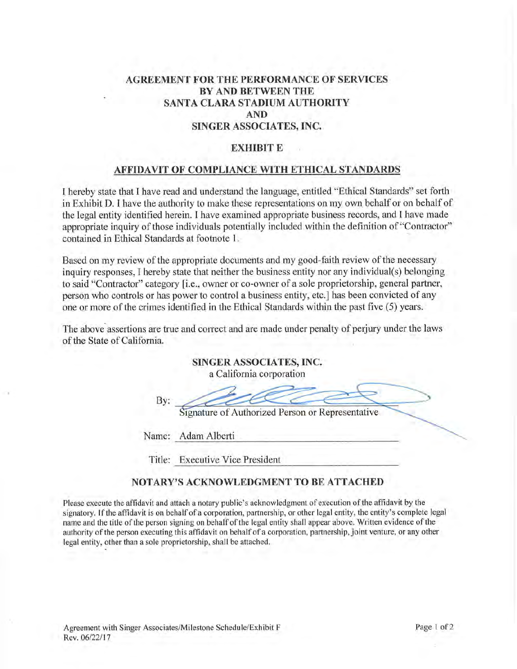# AGREEMENT FOR THE PERFORMANCE OF SERVICES BY AND BETWEEN THE SANTA CLARA STADIUM AUTHORITY AND SINGER ASSOCIATES, INC.

#### EXHIBIT E

## AFFIDAVIT OF COMPLIANCE WITH ETHICAL STANDARDS

I hereby state that I have read and understand the language, entitled "Ethical Standards" set forth in Exhibit D. I have the authority to make these representations on my own behalf or on behalf of the legal entity identified herein. I have examined appropriate business records, and I have made appropriate inquiry of those individuals potentially included within the definition of "Contractor" contained in Ethical Standards at footnote 1.

Based on my review of the appropriate documents and my good-faith review of the necessary inquiry responses, I hereby state that neither the business entity nor any individual(s) belonging to said "Contractor" category [i.e., owner or co-owner of a sole proprietorship, general partner, person who controls or has power to control a business entity, etc.] has been convicted of any one or more of the crimes identified in the Ethical Standards within the past five (5) years.

The above assertions are true and correct and are made under penalty of perjury under the laws of the State of California.

|     | SINGER ASSOCIATES, INC.<br>a California corporation |
|-----|-----------------------------------------------------|
| By: | Signature of Authorized Person or Representative    |
|     | Name: Adam Alberti                                  |

Title: Executive Vice President

## NOTARY'S ACKNOWLEDGMENT TO BE ATTACHED

Please execute the affidavit and attach a notary public's acknowledgment of execution of the affidavit by the signatory. If the affidavit is on behalf of a corporation, partnership, or other legal entity, the entity's complete legal name and the title of the person signing on behalf of the legal entity shall appear above. Written evidence of the authority of the person executing this affidavit on behalf of a corporation, partnership, joint venture, or any other legal entity, other than a sole proprietorship, shall be attached.